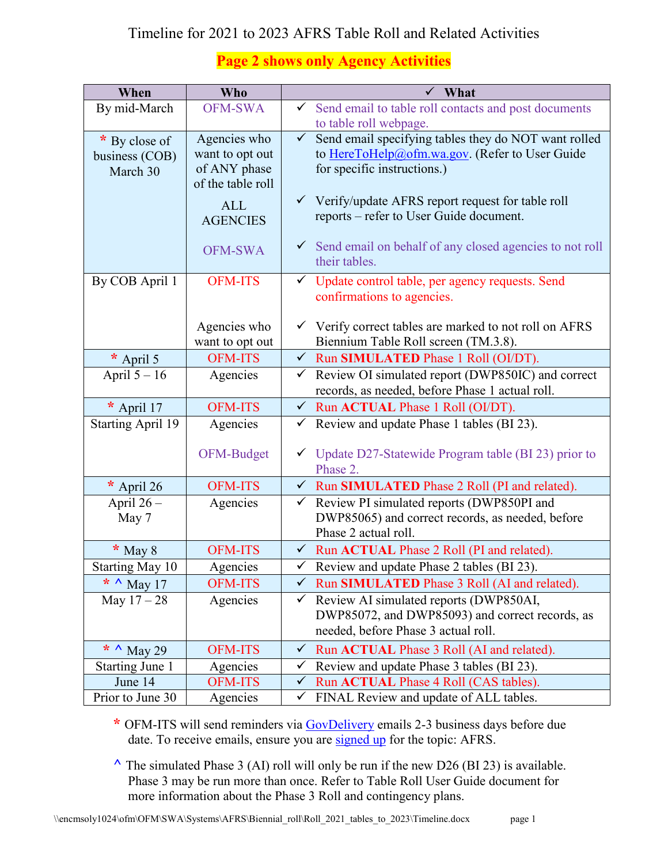## Timeline for 2021 to 2023 AFRS Table Roll and Related Activities

## **Page 2 shows only Agency Activities**

| When                     | <b>Who</b>        | ✓<br>What                                                                |
|--------------------------|-------------------|--------------------------------------------------------------------------|
| By mid-March             | <b>OFM-SWA</b>    | $\checkmark$ Send email to table roll contacts and post documents        |
|                          |                   | to table roll webpage.                                                   |
| * By close of            | Agencies who      | Send email specifying tables they do NOT want rolled<br>$\checkmark$     |
| business (COB)           | want to opt out   | to HereToHelp@ofm.wa.gov. (Refer to User Guide                           |
| March 30                 | of ANY phase      | for specific instructions.)                                              |
|                          | of the table roll |                                                                          |
|                          | <b>ALL</b>        | $\checkmark$ Verify/update AFRS report request for table roll            |
|                          | <b>AGENCIES</b>   | reports - refer to User Guide document.                                  |
|                          |                   | $\checkmark$ Send email on behalf of any closed agencies to not roll     |
|                          | <b>OFM-SWA</b>    | their tables.                                                            |
| By COB April 1           | <b>OFM-ITS</b>    | ✓ Update control table, per agency requests. Send                        |
|                          |                   | confirmations to agencies.                                               |
|                          |                   |                                                                          |
|                          | Agencies who      | $\checkmark$ Verify correct tables are marked to not roll on AFRS        |
|                          | want to opt out   | Biennium Table Roll screen (TM.3.8).                                     |
| * April 5                | <b>OFM-ITS</b>    | Run SIMULATED Phase 1 Roll (OI/DT).<br>$\checkmark$                      |
| April $5 - 16$           | Agencies          | Review OI simulated report (DWP850IC) and correct<br>$\checkmark$        |
|                          |                   | records, as needed, before Phase 1 actual roll.                          |
| * April 17               | <b>OFM-ITS</b>    | ← Run ACTUAL Phase 1 Roll (OI/DT).                                       |
| <b>Starting April 19</b> | Agencies          | Review and update Phase 1 tables (BI 23).<br>$\checkmark$                |
|                          |                   |                                                                          |
|                          | OFM-Budget        | $\checkmark$ Update D27-Statewide Program table (BI 23) prior to         |
| * April 26               | <b>OFM-ITS</b>    | Phase 2.<br>Run SIMULATED Phase 2 Roll (PI and related).<br>$\checkmark$ |
| April $26-$              | Agencies          | Review PI simulated reports (DWP850PI and<br>$\checkmark$                |
| May 7                    |                   | DWP85065) and correct records, as needed, before                         |
|                          |                   | Phase 2 actual roll.                                                     |
| $*$ May 8                | <b>OFM-ITS</b>    | √ Run ACTUAL Phase 2 Roll (PI and related).                              |
| <b>Starting May 10</b>   | <u>Agencies</u>   | Review and update Phase 2 tables (BI 23).<br>$\checkmark$                |
| * $\land$ May 17         | <b>OFM-ITS</b>    | ← Run SIMULATED Phase 3 Roll (AI and related).                           |
| May $17 - 28$            | Agencies          | Review AI simulated reports (DWP850AI,<br>✓                              |
|                          |                   | DWP85072, and DWP85093) and correct records, as                          |
|                          |                   | needed, before Phase 3 actual roll.                                      |
| * $\land$ May 29         | <b>OFM-ITS</b>    | Run ACTUAL Phase 3 Roll (AI and related).<br>$\checkmark$                |
| <b>Starting June 1</b>   | Agencies          | Review and update Phase 3 tables (BI 23).<br>$\checkmark$                |
| June 14                  | <b>OFM-ITS</b>    | Run ACTUAL Phase 4 Roll (CAS tables).<br>$\checkmark$                    |
| Prior to June 30         | Agencies          | FINAL Review and update of ALL tables.<br>✓                              |

**\*** OFM-ITS will send reminders via [GovDelivery](https://public.govdelivery.com/accounts/wagov/subscriber/new?preferences=true#tab1) emails 2-3 business days before due date. To receive emails, ensure you are [signed](https://public.govdelivery.com/accounts/wagov/subscriber/new?preferences=true#tab1) up for the topic: AFRS.

**^** The simulated Phase 3 (AI) roll will only be run if the new D26 (BI 23) is available. Phase 3 may be run more than once. Refer to Table Roll User Guide document for more information about the Phase 3 Roll and contingency plans.